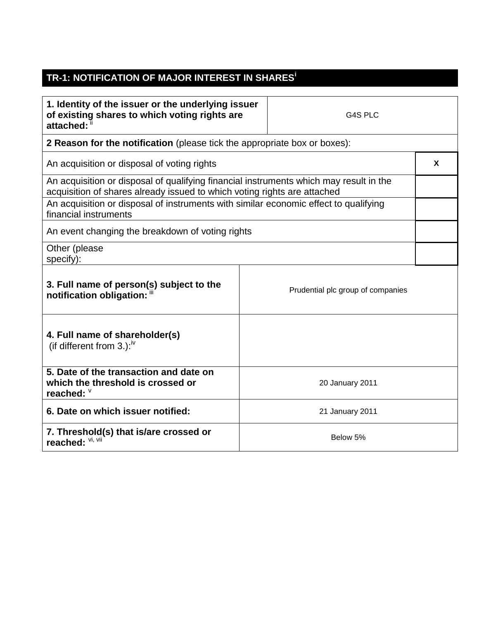## **TR-1: NOTIFICATION OF MAJOR INTEREST IN SHARES<sup>i</sup>**

| 1. Identity of the issuer or the underlying issuer<br>of existing shares to which voting rights are<br>attached:                                                   |                 | G4S PLC                           |  |  |
|--------------------------------------------------------------------------------------------------------------------------------------------------------------------|-----------------|-----------------------------------|--|--|
| 2 Reason for the notification (please tick the appropriate box or boxes):                                                                                          |                 |                                   |  |  |
| An acquisition or disposal of voting rights                                                                                                                        |                 |                                   |  |  |
| An acquisition or disposal of qualifying financial instruments which may result in the<br>acquisition of shares already issued to which voting rights are attached |                 |                                   |  |  |
| An acquisition or disposal of instruments with similar economic effect to qualifying<br>financial instruments                                                      |                 |                                   |  |  |
| An event changing the breakdown of voting rights                                                                                                                   |                 |                                   |  |  |
| Other (please<br>specify):                                                                                                                                         |                 |                                   |  |  |
| 3. Full name of person(s) subject to the<br>notification obligation: "                                                                                             |                 | Prudential plc group of companies |  |  |
| 4. Full name of shareholder(s)<br>(if different from 3.): $iv$                                                                                                     |                 |                                   |  |  |
| 5. Date of the transaction and date on<br>which the threshold is crossed or<br>reached: $\frac{1}{2}$                                                              |                 | 20 January 2011                   |  |  |
| 6. Date on which issuer notified:                                                                                                                                  | 21 January 2011 |                                   |  |  |
| 7. Threshold(s) that is/are crossed or<br>reached: VI, VII                                                                                                         | Below 5%        |                                   |  |  |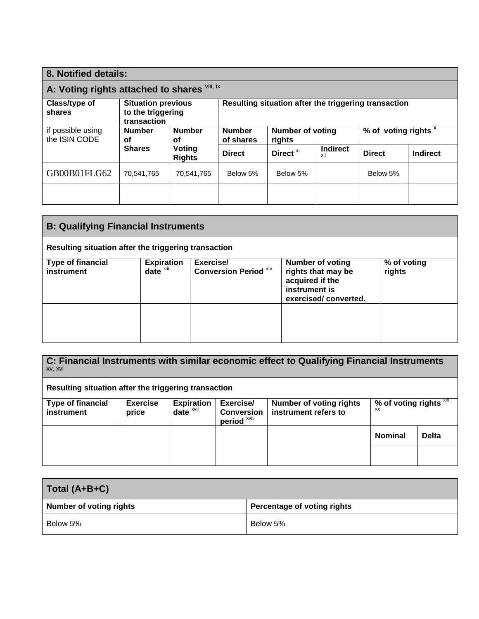| 8. Notified details:                                                                     |                                            |                                                      |                                   |                      |                                 |               |                 |
|------------------------------------------------------------------------------------------|--------------------------------------------|------------------------------------------------------|-----------------------------------|----------------------|---------------------------------|---------------|-----------------|
| A: Voting rights attached to shares Vili, ix                                             |                                            |                                                      |                                   |                      |                                 |               |                 |
| Class/type of<br><b>Situation previous</b><br>to the triggering<br>shares<br>transaction |                                            | Resulting situation after the triggering transaction |                                   |                      |                                 |               |                 |
| if possible using<br>the ISIN CODE                                                       | <b>Number</b><br><b>Number</b><br>οf<br>οf | <b>Number</b><br>of shares                           | <b>Number of voting</b><br>rights |                      | % of voting rights <sup>x</sup> |               |                 |
|                                                                                          | <b>Shares</b>                              | Voting<br><b>Rights</b>                              | <b>Direct</b>                     | Direct <sup>xi</sup> | <b>Indirect</b><br>xii          | <b>Direct</b> | <b>Indirect</b> |
| GB00B01FLG62                                                                             | 70,541,765                                 | 70,541,765                                           | Below 5%                          | Below 5%             |                                 | Below 5%      |                 |
|                                                                                          |                                            |                                                      |                                   |                      |                                 |               |                 |

| <b>B: Qualifying Financial Instruments</b>           |                                               |                                           |                                                                                                    |                       |  |
|------------------------------------------------------|-----------------------------------------------|-------------------------------------------|----------------------------------------------------------------------------------------------------|-----------------------|--|
| Resulting situation after the triggering transaction |                                               |                                           |                                                                                                    |                       |  |
| <b>Type of financial</b><br>instrument               | <b>Expiration</b><br>$date^{\overline{x}iii}$ | Exercise/<br><b>Conversion Period Xiv</b> | Number of voting<br>rights that may be<br>acquired if the<br>instrument is<br>exercised/converted. | % of voting<br>rights |  |
|                                                      |                                               |                                           |                                                                                                    |                       |  |

| C: Financial Instruments with similar economic effect to Qualifying Financial Instruments<br>XV, XVI |                          |                                              |                                                           |                                                        |                                         |              |
|------------------------------------------------------------------------------------------------------|--------------------------|----------------------------------------------|-----------------------------------------------------------|--------------------------------------------------------|-----------------------------------------|--------------|
| Resulting situation after the triggering transaction                                                 |                          |                                              |                                                           |                                                        |                                         |              |
| <b>Type of financial</b><br>instrument                                                               | <b>Exercise</b><br>price | <b>Expiration</b><br>date $x$ <sub>vii</sub> | Exercise/<br><b>Conversion</b><br>period <sup>xviii</sup> | <b>Number of voting rights</b><br>instrument refers to | % of voting rights $XIX$ ,<br><b>XX</b> |              |
|                                                                                                      |                          |                                              |                                                           |                                                        | <b>Nominal</b>                          | <b>Delta</b> |
|                                                                                                      |                          |                                              |                                                           |                                                        |                                         |              |

| Total (A+B+C)                  |                             |
|--------------------------------|-----------------------------|
| <b>Number of voting rights</b> | Percentage of voting rights |
| Below 5%                       | Below 5%                    |